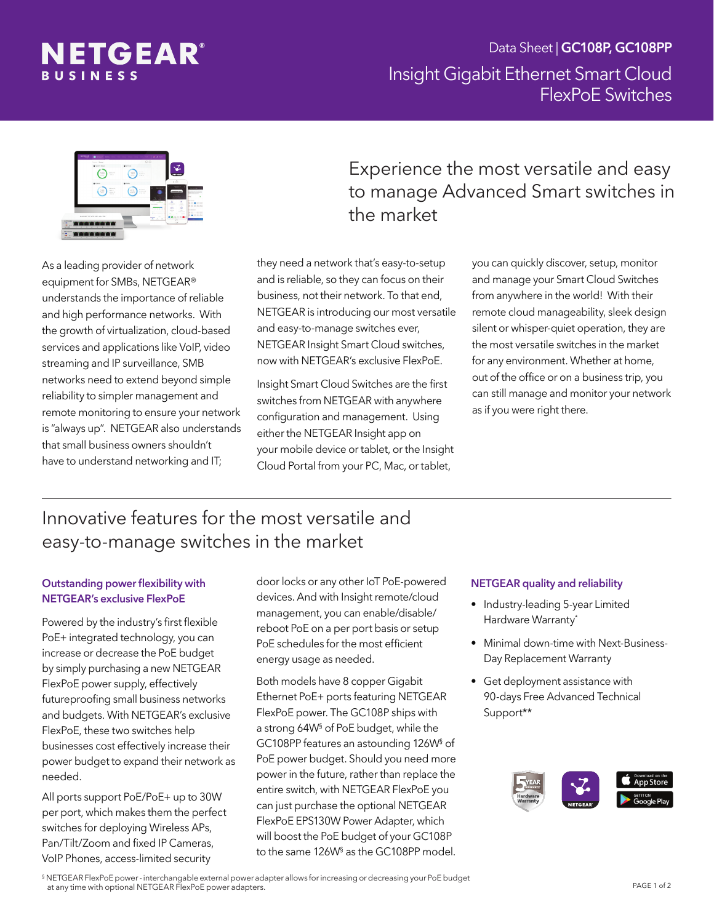



As a leading provider of network equipment for SMBs, NETGEAR® understands the importance of reliable and high performance networks. With the growth of virtualization, cloud-based services and applications like VoIP, video streaming and IP surveillance, SMB networks need to extend beyond simple reliability to simpler management and remote monitoring to ensure your network is "always up". NETGEAR also understands that small business owners shouldn't have to understand networking and IT;

# Experience the most versatile and easy to manage Advanced Smart switches in the market

they need a network that's easy-to-setup and is reliable, so they can focus on their business, not their network. To that end, NETGEAR is introducing our most versatile and easy-to-manage switches ever, NETGEAR Insight Smart Cloud switches, now with NETGEAR's exclusive FlexPoE.

Insight Smart Cloud Switches are the first switches from NETGEAR with anywhere configuration and management. Using either the NETGEAR Insight app on your mobile device or tablet, or the Insight Cloud Portal from your PC, Mac, or tablet,

you can quickly discover, setup, monitor and manage your Smart Cloud Switches from anywhere in the world! With their remote cloud manageability, sleek design silent or whisper-quiet operation, they are the most versatile switches in the market for any environment. Whether at home, out of the office or on a business trip, you can still manage and monitor your network as if you were right there.

# Innovative features for the most versatile and easy-to-manage switches in the market

### Outstanding power flexibility with NETGEAR's exclusive FlexPoE

Powered by the industry's first flexible PoE+ integrated technology, you can increase or decrease the PoE budget by simply purchasing a new NETGEAR FlexPoE power supply, effectively futureproofing small business networks and budgets. With NETGEAR's exclusive FlexPoE, these two switches help businesses cost effectively increase their power budget to expand their network as needed.

All ports support PoE/PoE+ up to 30W per port, which makes them the perfect switches for deploying Wireless APs, Pan/Tilt/Zoom and fixed IP Cameras, VoIP Phones, access-limited security

door locks or any other IoT PoE-powered devices. And with Insight remote/cloud management, you can enable/disable/ reboot PoE on a per port basis or setup PoE schedules for the most efficient energy usage as needed.

Both models have 8 copper Gigabit Ethernet PoE+ ports featuring NETGEAR FlexPoE power. The GC108P ships with a strong 64W§ of PoE budget, while the GC108PP features an astounding 126W§ of PoE power budget. Should you need more power in the future, rather than replace the entire switch, with NETGEAR FlexPoE you can just purchase the optional NETGEAR FlexPoE EPS130W Power Adapter, which will boost the PoE budget of your GC108P to the same 126W§ as the GC108PP model.

#### NETGEAR quality and reliability

- Industry-leading 5-year Limited Hardware Warranty\*
- Minimal down-time with Next-Business-Day Replacement Warranty
- Get deployment assistance with 90-days Free Advanced Technical Support\*\*